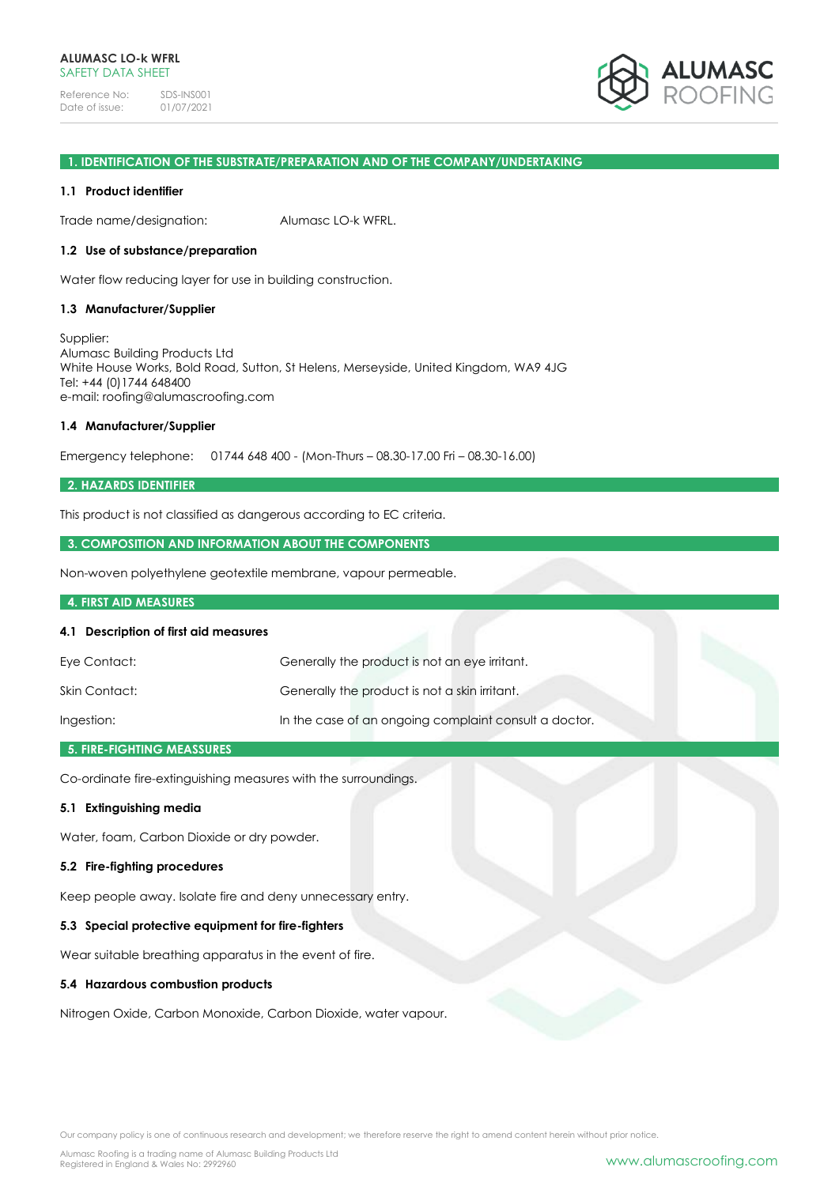Reference No: SDS-INS001<br>Date of issue: 01/07/2021 Date of issue:



### **1. IDENTIFICATION OF THE SUBSTRATE/PREPARATION AND OF THE COMPANY/UNDERTAKING**

#### **1.1 Product identifier**

Trade name/designation: Alumasc LO-k WFRL.

#### **1.2 Use of substance/preparation**

Water flow reducing layer for use in building construction.

#### **1.3 Manufacturer/Supplier**

Supplier: Alumasc Building Products Ltd White House Works, Bold Road, Sutton, St Helens, Merseyside, United Kingdom, WA9 4JG Tel: +44 (0)1744 648400 e-mail: roofing@alumascroofing.com

#### **1.4 Manufacturer/Supplier**

Emergency telephone: 01744 648 400 - (Mon-Thurs – 08.30-17.00 Fri – 08.30-16.00)

### **2. HAZARDS IDENTIFIER**

This product is not classified as dangerous according to EC criteria.

### **3. COMPOSITION AND INFORMATION ABOUT THE COMPONENTS**

Non-woven polyethylene geotextile membrane, vapour permeable.

### **4. FIRST AID MEASURES**

#### **4.1 Description of first aid measures**

| Eye Contact:  | Generally the product is not an eye irritant.         |
|---------------|-------------------------------------------------------|
| Skin Contact: | Generally the product is not a skin irritant.         |
| Ingestion:    | In the case of an ongoing complaint consult a doctor. |

# **5. FIRE-FIGHTING MEASSURES**

Co-ordinate fire-extinguishing measures with the surroundings.

# **5.1 Extinguishing media**

Water, foam, Carbon Dioxide or dry powder.

#### **5.2 Fire-fighting procedures**

Keep people away. Isolate fire and deny unnecessary entry.

### **5.3 Special protective equipment for fire-fighters**

Wear suitable breathing apparatus in the event of fire.

### **5.4 Hazardous combustion products**

Nitrogen Oxide, Carbon Monoxide, Carbon Dioxide, water vapour.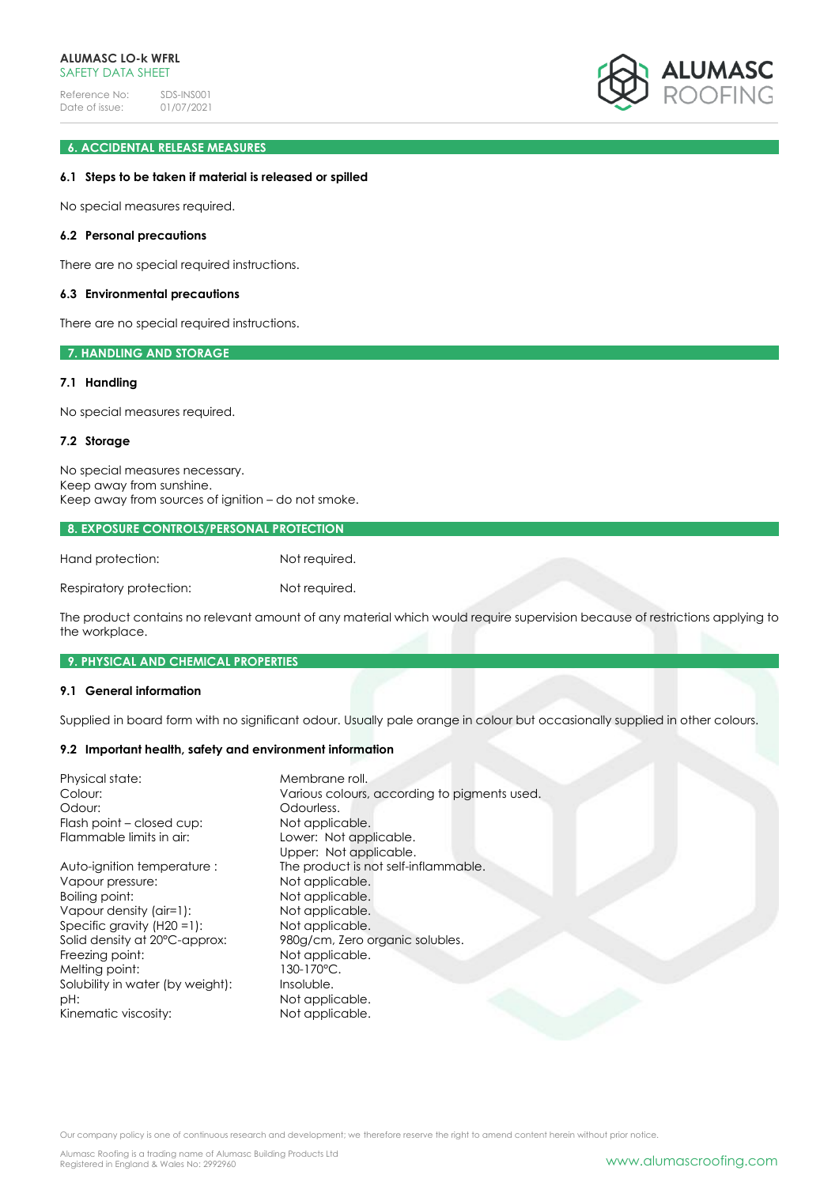Reference No: SDS-INS001<br>Date of issue: 01/07/2021 Date of issue:



# **6. ACCIDENTAL RELEASE MEASURES**

### **6.1 Steps to be taken if material is released or spilled**

No special measures required.

#### **6.2 Personal precautions**

There are no special required instructions.

#### **6.3 Environmental precautions**

There are no special required instructions.

### **7. HANDLING AND STORAGE**

### **7.1 Handling**

No special measures required.

### **7.2 Storage**

No special measures necessary. Keep away from sunshine. Keep away from sources of ignition – do not smoke.

#### **8. EXPOSURE CONTROLS/PERSONAL PROTECTION**

| Hand protection:        | Not required. |
|-------------------------|---------------|
| Respiratory protection: | Not required. |

The product contains no relevant amount of any material which would require supervision because of restrictions applying to the workplace.

### **9. PHYSICAL AND CHEMICAL PROPERTIES**

### **9.1 General information**

Supplied in board form with no significant odour. Usually pale orange in colour but occasionally supplied in other colours.

### **9.2 Important health, safety and environment information**

| Physical state:<br>Colour:<br>Odour:<br>Flash point – closed cup:<br>Flammable limits in air: | Membrane roll.<br>Various colours, according to pigments used.<br>Odourless.<br>Not applicable.<br>Lower: Not applicable.<br>Upper: Not applicable. |
|-----------------------------------------------------------------------------------------------|-----------------------------------------------------------------------------------------------------------------------------------------------------|
| Auto-ignition temperature:                                                                    | The product is not self-inflammable.                                                                                                                |
| Vapour pressure:                                                                              | Not applicable.                                                                                                                                     |
| Boiling point:                                                                                | Not applicable.                                                                                                                                     |
| Vapour density (air=1):                                                                       | Not applicable.                                                                                                                                     |
| Specific gravity $(H20 = 1)$ :                                                                | Not applicable.                                                                                                                                     |
| Solid density at 20°C-approx:                                                                 | 980g/cm, Zero organic solubles.                                                                                                                     |
| Freezing point:                                                                               | Not applicable.                                                                                                                                     |
| Melting point:                                                                                | 130-170°C.                                                                                                                                          |
| Solubility in water (by weight):                                                              | Insoluble.                                                                                                                                          |
| pH:                                                                                           | Not applicable.                                                                                                                                     |
| Kinematic viscosity:                                                                          | Not applicable.                                                                                                                                     |

Our company policy is one of continuous research and development; we therefore reserve the right to amend content herein without prior notice.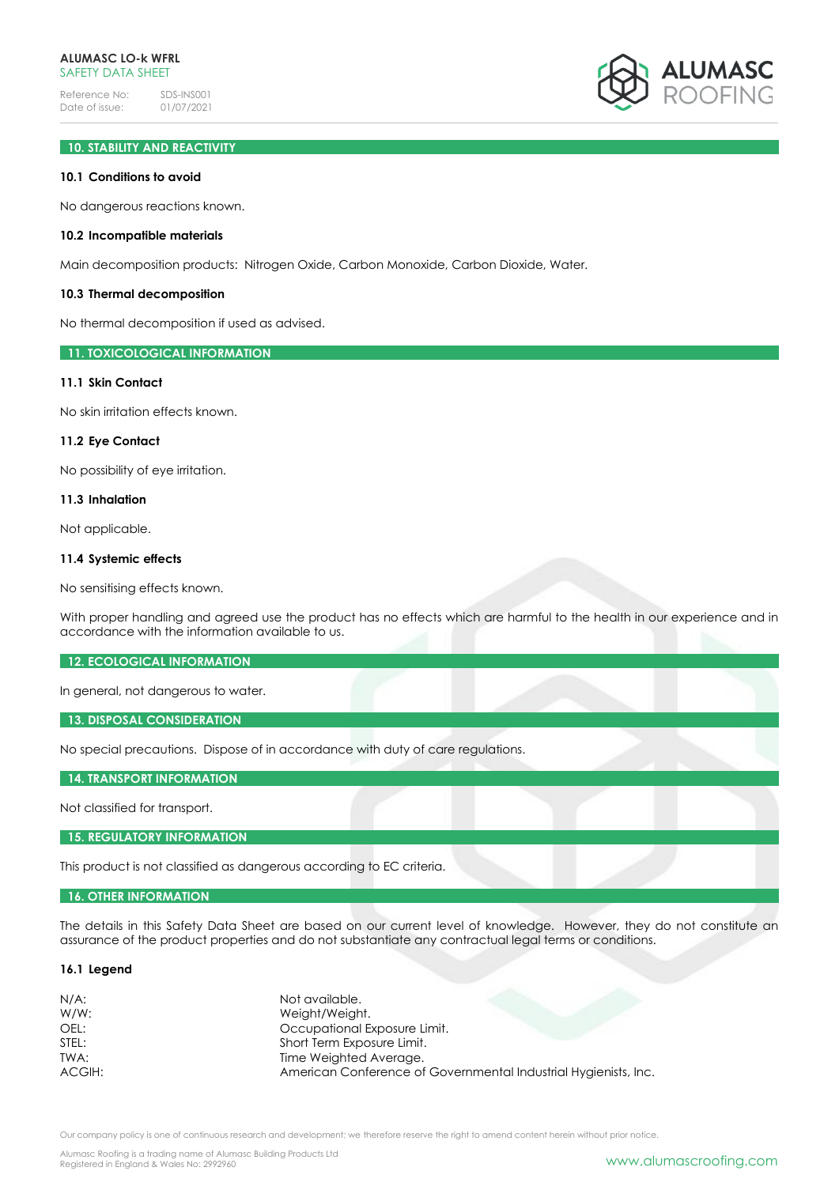Reference No: SDS-INS001<br>Date of issue: 01/07/2021 Date of issue:



# **10. STABILITY AND REACTIVITY**

#### **10.1 Conditions to avoid**

No dangerous reactions known.

#### **10.2 Incompatible materials**

Main decomposition products: Nitrogen Oxide, Carbon Monoxide, Carbon Dioxide, Water.

#### **10.3 Thermal decomposition**

No thermal decomposition if used as advised.

### **11. TOXICOLOGICAL INFORMATION**

#### **11.1 Skin Contact**

No skin irritation effects known.

#### **11.2 Eye Contact**

No possibility of eye irritation.

### **11.3 Inhalation**

Not applicable.

### **11.4 Systemic effects**

No sensitising effects known.

With proper handling and agreed use the product has no effects which are harmful to the health in our experience and in accordance with the information available to us.

### **12. ECOLOGICAL INFORMATION**

In general, not dangerous to water.

#### **13. DISPOSAL CONSIDERATION**

No special precautions. Dispose of in accordance with duty of care regulations.

**14. TRANSPORT INFORMATION**

Not classified for transport.

**15. REGULATORY INFORMATION**

This product is not classified as dangerous according to EC criteria.

#### **16. OTHER INFORMATION**

The details in this Safety Data Sheet are based on our current level of knowledge. However, they do not constitute an assurance of the product properties and do not substantiate any contractual legal terms or conditions.

# **16.1 Legend**

| $N/A$ : | Not available.                                                  |
|---------|-----------------------------------------------------------------|
| $W/W$ : | Weight/Weight.                                                  |
| OEL:    | Occupational Exposure Limit.                                    |
| STEL:   | Short Term Exposure Limit.                                      |
| TWA:    | Time Weighted Average.                                          |
| ACGIH:  | American Conference of Governmental Industrial Hygienists, Inc. |

Our company policy is one of continuous research and development; we therefore reserve the right to amend content herein without prior notice.

Alumasc Roofing is a trading name of Alumasc Building Products Ltd